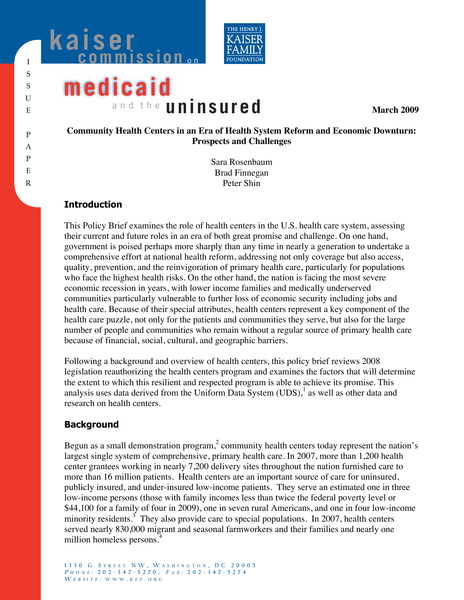



# **medicaid** and the **uninsured**

**March 2009** 

#### **Community Health Centers in an Era of Health System Reform and Economic Downturn: Prospects and Challenges**

Sara Rosenbaum Brad Finnegan Peter Shin

## **Introduction**

This Policy Brief examines the role of health centers in the U.S. health care system, assessing their current and future roles in an era of both great promise and challenge. On one hand, government is poised perhaps more sharply than any time in nearly a generation to undertake a comprehensive effort at national health reform, addressing not only coverage but also access, quality, prevention, and the reinvigoration of primary health care, particularly for populations who face the highest health risks. On the other hand, the nation is facing the most severe economic recession in years, with lower income families and medically underserved communities particularly vulnerable to further loss of economic security including jobs and health care. Because of their special attributes, health centers represent a key component of the health care puzzle, not only for the patients and communities they serve, but also for the large number of people and communities who remain without a regular source of primary health care because of financial, social, cultural, and geographic barriers.

Following a background and overview of health centers, this policy brief reviews 2008 legislation reauthorizing the health centers program and examines the factors that will determine the extent to which this resilient and respected program is able to achieve its promise. This analysis uses data derived from the Uniform Data System  $(UDS)$ , as well as other data and research on health centers.

## **Background**

Begun as a small demonstration program,<sup>2</sup> community health centers today represent the nation's largest single system of comprehensive, primary health care. In 2007, more than 1,200 health center grantees working in nearly 7,200 delivery sites throughout the nation furnished care to more than 16 million patients. Health centers are an important source of care for uninsured, publicly insured, and under-insured low-income patients. They serve an estimated one in three low-income persons (those with family incomes less than twice the federal poverty level or \$44,100 for a family of four in 2009), one in seven rural Americans, and one in four low-income minority residents.<sup>3</sup> They also provide care to special populations. In 2007, health centers served nearly 830,000 migrant and seasonal farmworkers and their families and nearly one million homeless persons.<sup>4</sup>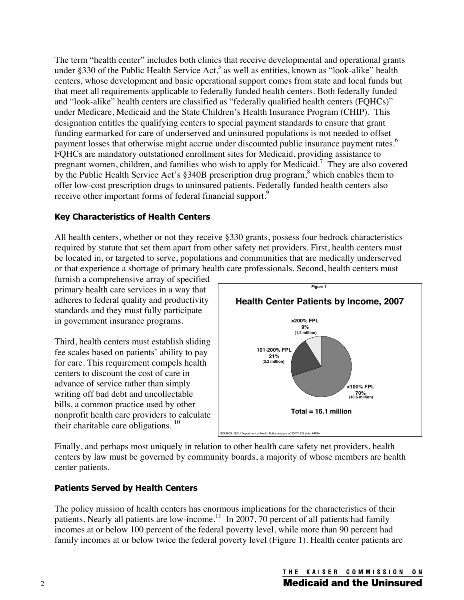The term "health center" includes both clinics that receive developmental and operational grants under §330 of the Public Health Service Act,<sup>5</sup> as well as entities, known as "look-alike" health centers, whose development and basic operational support comes from state and local funds but that meet all requirements applicable to federally funded health centers. Both federally funded and "look-alike" health centers are classified as "federally qualified health centers (FQHCs)" under Medicare, Medicaid and the State Children's Health Insurance Program (CHIP). This designation entitles the qualifying centers to special payment standards to ensure that grant funding earmarked for care of underserved and uninsured populations is not needed to offset payment losses that otherwise might accrue under discounted public insurance payment rates.<sup>6</sup> FQHCs are mandatory outstationed enrollment sites for Medicaid, providing assistance to pregnant women, children, and families who wish to apply for Medicaid.<sup>7</sup> They are also covered by the Public Health Service Act's §340B prescription drug program,<sup>8</sup> which enables them to offer low-cost prescription drugs to uninsured patients. Federally funded health centers also receive other important forms of federal financial support.<sup>9</sup>

## **Key Characteristics of Health Centers**

All health centers, whether or not they receive §330 grants, possess four bedrock characteristics required by statute that set them apart from other safety net providers. First, health centers must be located in, or targeted to serve, populations and communities that are medically underserved or that experience a shortage of primary health care professionals. Second, health centers must

furnish a comprehensive array of specified primary health care services in a way that adheres to federal quality and productivity standards and they must fully participate in government insurance programs.

Third, health centers must establish sliding fee scales based on patients' ability to pay for care. This requirement compels health centers to discount the cost of care in advance of service rather than simply writing off bad debt and uncollectable bills, a common practice used by other nonprofit health care providers to calculate their charitable care obligations.  $10$ 



Finally, and perhaps most uniquely in relation to other health care safety net providers, health centers by law must be governed by community boards, a majority of whose members are health center patients.

## **Patients Served by Health Centers**

The policy mission of health centers has enormous implications for the characteristics of their patients. Nearly all patients are low-income.<sup>11</sup> In 2007, 70 percent of all patients had family incomes at or below 100 percent of the federal poverty level, while more than 90 percent had family incomes at or below twice the federal poverty level (Figure 1). Health center patients are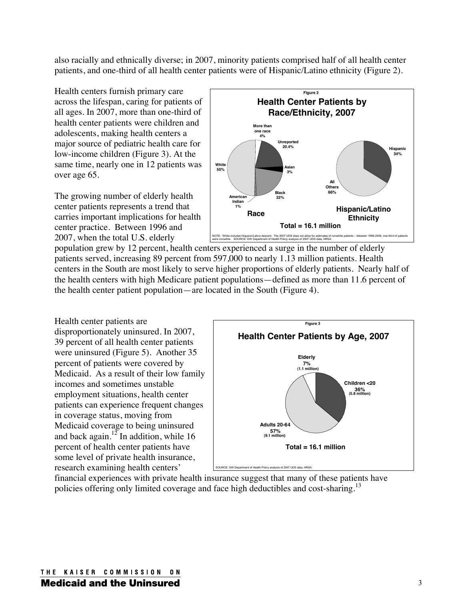also racially and ethnically diverse; in 2007, minority patients comprised half of all health center patients, and one-third of all health center patients were of Hispanic/Latino ethnicity (Figure 2).

Health centers furnish primary care across the lifespan, caring for patients of all ages. In 2007, more than one-third of health center patients were children and adolescents, making health centers a major source of pediatric health care for low-income children (Figure 3). At the same time, nearly one in 12 patients was over age 65.

The growing number of elderly health center patients represents a trend that carries important implications for health center practice. Between 1996 and 2007, when the total U.S. elderly



population grew by 12 percent, health centers experienced a surge in the number of elderly patients served, increasing 89 percent from 597,000 to nearly 1.13 million patients. Health centers in the South are most likely to serve higher proportions of elderly patients. Nearly half of the health centers with high Medicare patient populations—defined as more than 11.6 percent of the health center patient population—are located in the South (Figure 4).

Health center patients are disproportionately uninsured. In 2007, 39 percent of all health center patients were uninsured (Figure 5). Another 35 percent of patients were covered by Medicaid. As a result of their low family incomes and sometimes unstable employment situations, health center patients can experience frequent changes in coverage status, moving from Medicaid coverage to being uninsured and back again.<sup>12</sup> In addition, while 16 percent of health center patients have some level of private health insurance, research examining health centers'



financial experiences with private health insurance suggest that many of these patients have policies offering only limited coverage and face high deductibles and cost-sharing.<sup>13</sup>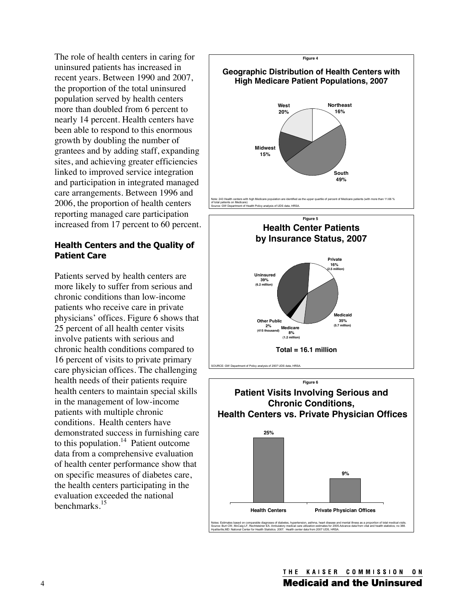The role of health centers in caring for uninsured patients has increased in recent years. Between 1990 and 2007, the proportion of the total uninsured population served by health centers more than doubled from 6 percent to nearly 14 percent. Health centers have been able to respond to this enormous growth by doubling the number of grantees and by adding staff, expanding sites, and achieving greater efficiencies linked to improved service integration and participation in integrated managed care arrangements. Between 1996 and 2006, the proportion of health centers reporting managed care participation increased from 17 percent to 60 percent.

#### **Health Centers and the Quality of Patient Care**

Patients served by health centers are more likely to suffer from serious and chronic conditions than low-income patients who receive care in private physicians' offices. Figure 6 shows that 25 percent of all health center visits involve patients with serious and chronic health conditions compared to 16 percent of visits to private primary care physician offices. The challenging health needs of their patients require health centers to maintain special skills in the management of low-income patients with multiple chronic conditions. Health centers have demonstrated success in furnishing care to this population.<sup>14</sup> Patient outcome data from a comprehensive evaluation of health center performance show that on specific measures of diabetes care, the health centers participating in the evaluation exceeded the national benchmarks.15





**Medicaid**

**35%**

**(5.7 million)**

**Medicare**

**(1.2 million)**

**8%**

**Other Public**

**2%**

**(415 thousand)**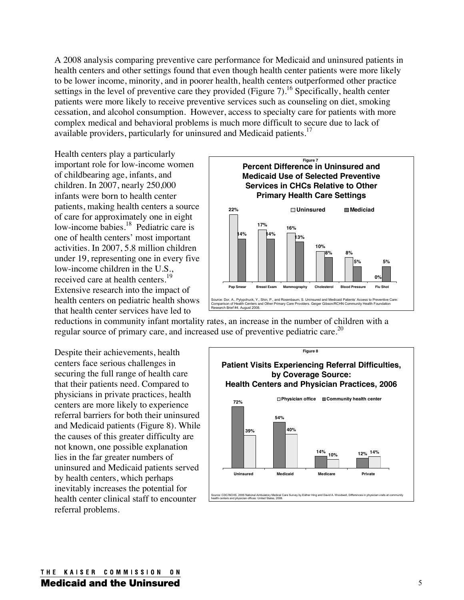A 2008 analysis comparing preventive care performance for Medicaid and uninsured patients in health centers and other settings found that even though health center patients were more likely to be lower income, minority, and in poorer health, health centers outperformed other practice settings in the level of preventive care they provided (Figure  $7$ ).<sup>16</sup> Specifically, health center patients were more likely to receive preventive services such as counseling on diet, smoking cessation, and alcohol consumption. However, access to specialty care for patients with more complex medical and behavioral problems is much more difficult to secure due to lack of available providers, particularly for uninsured and Medicaid patients.<sup>17</sup>

Health centers play a particularly important role for low-income women of childbearing age, infants, and children. In 2007, nearly 250,000 infants were born to health center patients, making health centers a source of care for approximately one in eight low-income babies.<sup>18</sup> Pediatric care is one of health centers' most important activities. In 2007, 5.8 million children under 19, representing one in every five low-income children in the U.S., received care at health centers.<sup>19</sup> Extensive research into the impact of health centers on pediatric health shows that health center services have led to



reductions in community infant mortality rates, an increase in the number of children with a regular source of primary care, and increased use of preventive pediatric care.<sup>20</sup>

Despite their achievements, health centers face serious challenges in securing the full range of health care that their patients need. Compared to physicians in private practices, health centers are more likely to experience referral barriers for both their uninsured and Medicaid patients (Figure 8). While the causes of this greater difficulty are not known, one possible explanation lies in the far greater numbers of uninsured and Medicaid patients served by health centers, which perhaps inevitably increases the potential for health center clinical staff to encounter referral problems.

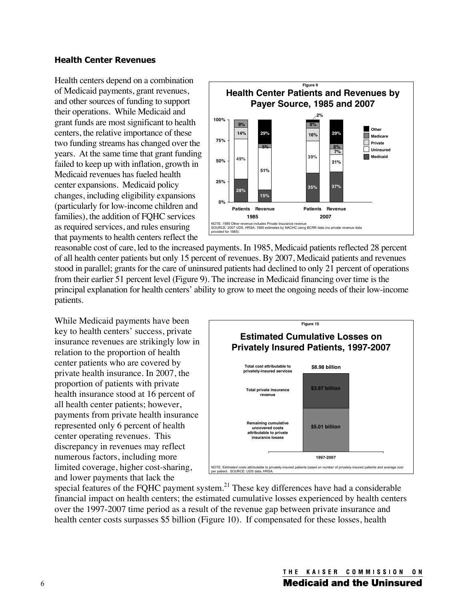#### **Health Center Revenues**

Health centers depend on a combination of Medicaid payments, grant revenues, and other sources of funding to support their operations. While Medicaid and grant funds are most significant to health centers, the relative importance of these two funding streams has changed over the years. At the same time that grant funding failed to keep up with inflation, growth in Medicaid revenues has fueled health center expansions. Medicaid policy changes, including eligibility expansions (particularly for low-income children and families), the addition of FQHC services as required services, and rules ensuring that payments to health centers reflect the



reasonable cost of care, led to the increased payments. In 1985, Medicaid patients reflected 28 percent of all health center patients but only 15 percent of revenues. By 2007, Medicaid patients and revenues stood in parallel; grants for the care of uninsured patients had declined to only 21 percent of operations from their earlier 51 percent level (Figure 9). The increase in Medicaid financing over time is the principal explanation for health centers' ability to grow to meet the ongoing needs of their low-income patients.

While Medicaid payments have been key to health centers' success, private insurance revenues are strikingly low in relation to the proportion of health center patients who are covered by private health insurance. In 2007, the proportion of patients with private health insurance stood at 16 percent of all health center patients; however, payments from private health insurance represented only 6 percent of health center operating revenues. This discrepancy in revenues may reflect numerous factors, including more limited coverage, higher cost-sharing, and lower payments that lack the



special features of the FQHC payment system.<sup>21</sup> These key differences have had a considerable financial impact on health centers; the estimated cumulative losses experienced by health centers over the 1997-2007 time period as a result of the revenue gap between private insurance and health center costs surpasses \$5 billion (Figure 10). If compensated for these losses, health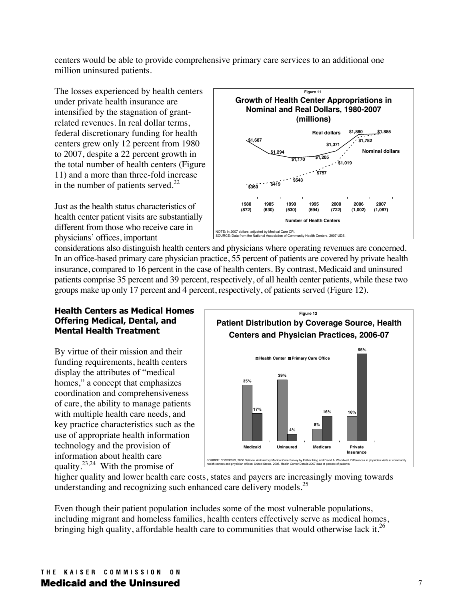centers would be able to provide comprehensive primary care services to an additional one million uninsured patients.

The losses experienced by health centers under private health insurance are intensified by the stagnation of grantrelated revenues. In real dollar terms, federal discretionary funding for health centers grew only 12 percent from 1980 to 2007, despite a 22 percent growth in the total number of health centers (Figure 11) and a more than three-fold increase in the number of patients served. $^{22}$ 

Just as the health status characteristics of health center patient visits are substantially different from those who receive care in physicians' offices, important



considerations also distinguish health centers and physicians where operating revenues are concerned. In an office-based primary care physician practice, 55 percent of patients are covered by private health insurance, compared to 16 percent in the case of health centers. By contrast, Medicaid and uninsured patients comprise 35 percent and 39 percent, respectively, of all health center patients, while these two groups make up only 17 percent and 4 percent, respectively, of patients served (Figure 12).

#### **Health Centers as Medical Homes Offering Medical, Dental, and Mental Health Treatment**

By virtue of their mission and their funding requirements, health centers display the attributes of "medical homes," a concept that emphasizes coordination and comprehensiveness of care, the ability to manage patients with multiple health care needs, and key practice characteristics such as the use of appropriate health information technology and the provision of information about health care quality.23,24 With the promise of



higher quality and lower health care costs, states and payers are increasingly moving towards understanding and recognizing such enhanced care delivery models.<sup>25</sup>

Even though their patient population includes some of the most vulnerable populations, including migrant and homeless families, health centers effectively serve as medical homes, bringing high quality, affordable health care to communities that would otherwise lack it.<sup>26</sup>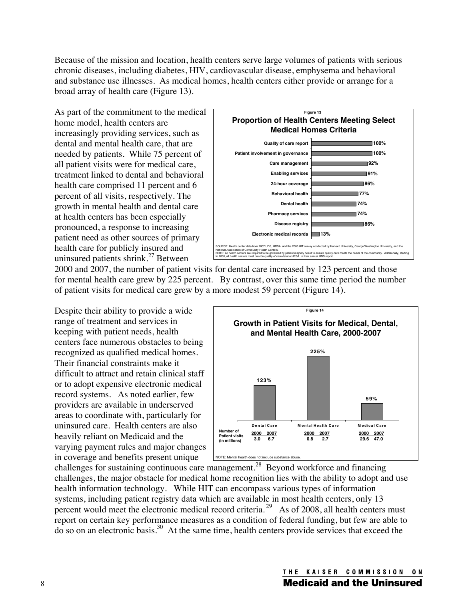Because of the mission and location, health centers serve large volumes of patients with serious chronic diseases, including diabetes, HIV, cardiovascular disease, emphysema and behavioral and substance use illnesses. As medical homes, health centers either provide or arrange for a broad array of health care (Figure 13).

As part of the commitment to the medical home model, health centers are increasingly providing services, such as dental and mental health care, that are needed by patients. While 75 percent of all patient visits were for medical care, treatment linked to dental and behavioral health care comprised 11 percent and 6 percent of all visits, respectively. The growth in mental health and dental care at health centers has been especially pronounced, a response to increasing patient need as other sources of primary health care for publicly insured and uninsured patients shrink. $27$  Between



2000 and 2007, the number of patient visits for dental care increased by 123 percent and those for mental health care grew by 225 percent. By contrast, over this same time period the number of patient visits for medical care grew by a more modest 59 percent (Figure 14).

Despite their ability to provide a wide range of treatment and services in keeping with patient needs, health centers face numerous obstacles to being recognized as qualified medical homes. Their financial constraints make it difficult to attract and retain clinical staff or to adopt expensive electronic medical record systems. As noted earlier, few providers are available in underserved areas to coordinate with, particularly for uninsured care. Health centers are also heavily reliant on Medicaid and the varying payment rules and major changes in coverage and benefits present unique



challenges for sustaining continuous care management.28 Beyond workforce and financing challenges, the major obstacle for medical home recognition lies with the ability to adopt and use health information technology. While HIT can encompass various types of information systems, including patient registry data which are available in most health centers, only 13 percent would meet the electronic medical record criteria.<sup>29</sup> As of 2008, all health centers must report on certain key performance measures as a condition of federal funding, but few are able to do so on an electronic basis.30 At the same time, health centers provide services that exceed the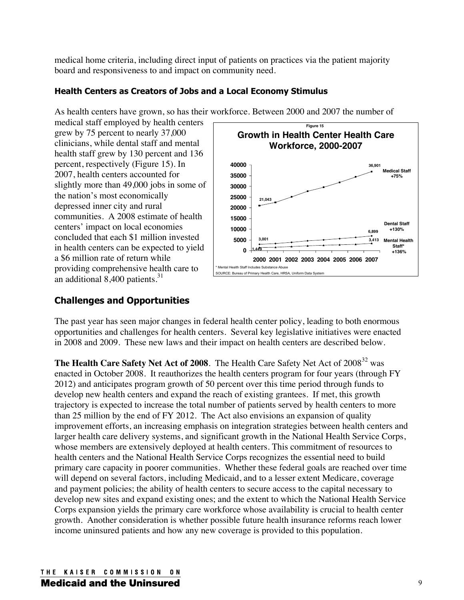medical home criteria, including direct input of patients on practices via the patient majority board and responsiveness to and impact on community need.

## **Health Centers as Creators of Jobs and a Local Economy Stimulus**

As health centers have grown, so has their workforce. Between 2000 and 2007 the number of

medical staff employed by health centers grew by 75 percent to nearly 37,000 clinicians, while dental staff and mental health staff grew by 130 percent and 136 percent, respectively (Figure 15). In 2007, health centers accounted for slightly more than 49,000 jobs in some of the nation's most economically depressed inner city and rural communities. A 2008 estimate of health centers' impact on local economies concluded that each \$1 million invested in health centers can be expected to yield a \$6 million rate of return while providing comprehensive health care to an additional  $8,400$  patients.<sup>31</sup>



## **Challenges and Opportunities**

The past year has seen major changes in federal health center policy, leading to both enormous opportunities and challenges for health centers. Several key legislative initiatives were enacted in 2008 and 2009. These new laws and their impact on health centers are described below.

**The Health Care Safety Net Act of 2008**. The Health Care Safety Net Act of 2008<sup>32</sup> was enacted in October 2008. It reauthorizes the health centers program for four years (through FY 2012) and anticipates program growth of 50 percent over this time period through funds to develop new health centers and expand the reach of existing grantees. If met, this growth trajectory is expected to increase the total number of patients served by health centers to more than 25 million by the end of FY 2012. The Act also envisions an expansion of quality improvement efforts, an increasing emphasis on integration strategies between health centers and larger health care delivery systems, and significant growth in the National Health Service Corps, whose members are extensively deployed at health centers. This commitment of resources to health centers and the National Health Service Corps recognizes the essential need to build primary care capacity in poorer communities. Whether these federal goals are reached over time will depend on several factors, including Medicaid, and to a lesser extent Medicare, coverage and payment policies; the ability of health centers to secure access to the capital necessary to develop new sites and expand existing ones; and the extent to which the National Health Service Corps expansion yields the primary care workforce whose availability is crucial to health center growth. Another consideration is whether possible future health insurance reforms reach lower income uninsured patients and how any new coverage is provided to this population.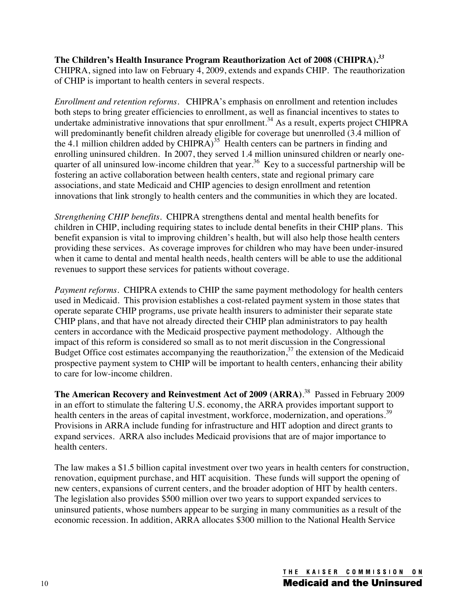**The Children's Health Insurance Program Reauthorization Act of 2008 (CHIPRA).***<sup>33</sup>* CHIPRA, signed into law on February 4, 2009, extends and expands CHIP. The reauthorization of CHIP is important to health centers in several respects.

*Enrollment and retention reforms.* CHIPRA's emphasis on enrollment and retention includes both steps to bring greater efficiencies to enrollment, as well as financial incentives to states to undertake administrative innovations that spur enrollment.<sup>34</sup> As a result, experts project CHIPRA will predominantly benefit children already eligible for coverage but unenrolled (3.4 million of the 4.1 million children added by  $CHIPRA$ <sup>35</sup> Health centers can be partners in finding and enrolling uninsured children. In 2007, they served 1.4 million uninsured children or nearly onequarter of all uninsured low-income children that year.<sup>36</sup> Key to a successful partnership will be fostering an active collaboration between health centers, state and regional primary care associations, and state Medicaid and CHIP agencies to design enrollment and retention innovations that link strongly to health centers and the communities in which they are located.

*Strengthening CHIP benefits.* CHIPRA strengthens dental and mental health benefits for children in CHIP, including requiring states to include dental benefits in their CHIP plans. This benefit expansion is vital to improving children's health, but will also help those health centers providing these services. As coverage improves for children who may have been under-insured when it came to dental and mental health needs, health centers will be able to use the additional revenues to support these services for patients without coverage.

*Payment reforms.* CHIPRA extends to CHIP the same payment methodology for health centers used in Medicaid. This provision establishes a cost-related payment system in those states that operate separate CHIP programs, use private health insurers to administer their separate state CHIP plans, and that have not already directed their CHIP plan administrators to pay health centers in accordance with the Medicaid prospective payment methodology. Although the impact of this reform is considered so small as to not merit discussion in the Congressional Budget Office cost estimates accompanying the reauthorization,  $37$  the extension of the Medicaid prospective payment system to CHIP will be important to health centers, enhancing their ability to care for low-income children.

**The American Recovery and Reinvestment Act of 2009 (ARRA)**. 38 Passed in February 2009 in an effort to stimulate the faltering U.S. economy, the ARRA provides important support to health centers in the areas of capital investment, workforce, modernization, and operations.<sup>39</sup> Provisions in ARRA include funding for infrastructure and HIT adoption and direct grants to expand services. ARRA also includes Medicaid provisions that are of major importance to health centers.

The law makes a \$1.5 billion capital investment over two years in health centers for construction, renovation, equipment purchase, and HIT acquisition. These funds will support the opening of new centers, expansions of current centers, and the broader adoption of HIT by health centers. The legislation also provides \$500 million over two years to support expanded services to uninsured patients, whose numbers appear to be surging in many communities as a result of the economic recession. In addition, ARRA allocates \$300 million to the National Health Service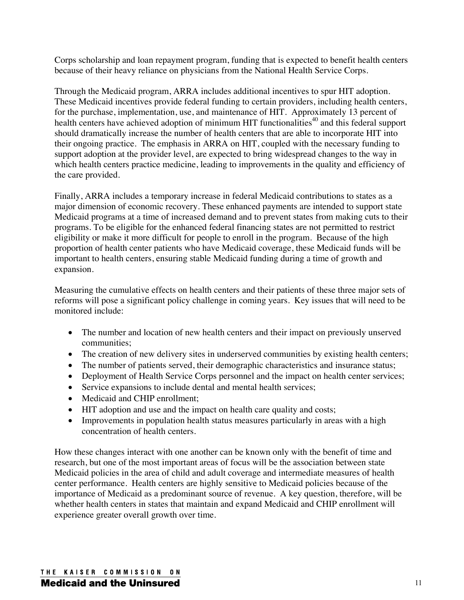Corps scholarship and loan repayment program, funding that is expected to benefit health centers because of their heavy reliance on physicians from the National Health Service Corps.

Through the Medicaid program, ARRA includes additional incentives to spur HIT adoption. These Medicaid incentives provide federal funding to certain providers, including health centers, for the purchase, implementation, use, and maintenance of HIT. Approximately 13 percent of health centers have achieved adoption of minimum HIT functionalities<sup>40</sup> and this federal support should dramatically increase the number of health centers that are able to incorporate HIT into their ongoing practice. The emphasis in ARRA on HIT, coupled with the necessary funding to support adoption at the provider level, are expected to bring widespread changes to the way in which health centers practice medicine, leading to improvements in the quality and efficiency of the care provided.

Finally, ARRA includes a temporary increase in federal Medicaid contributions to states as a major dimension of economic recovery. These enhanced payments are intended to support state Medicaid programs at a time of increased demand and to prevent states from making cuts to their programs. To be eligible for the enhanced federal financing states are not permitted to restrict eligibility or make it more difficult for people to enroll in the program. Because of the high proportion of health center patients who have Medicaid coverage, these Medicaid funds will be important to health centers, ensuring stable Medicaid funding during a time of growth and expansion.

Measuring the cumulative effects on health centers and their patients of these three major sets of reforms will pose a significant policy challenge in coming years. Key issues that will need to be monitored include:

- The number and location of new health centers and their impact on previously unserved communities;
- The creation of new delivery sites in underserved communities by existing health centers;
- The number of patients served, their demographic characteristics and insurance status;
- Deployment of Health Service Corps personnel and the impact on health center services;
- Service expansions to include dental and mental health services;
- Medicaid and CHIP enrollment:
- HIT adoption and use and the impact on health care quality and costs;
- Improvements in population health status measures particularly in areas with a high concentration of health centers.

How these changes interact with one another can be known only with the benefit of time and research, but one of the most important areas of focus will be the association between state Medicaid policies in the area of child and adult coverage and intermediate measures of health center performance. Health centers are highly sensitive to Medicaid policies because of the importance of Medicaid as a predominant source of revenue. A key question, therefore, will be whether health centers in states that maintain and expand Medicaid and CHIP enrollment will experience greater overall growth over time.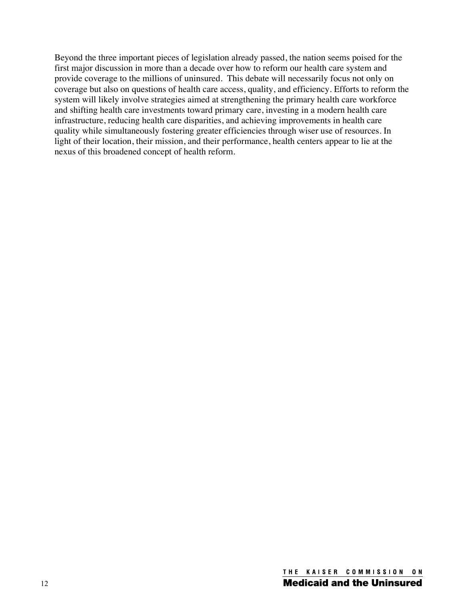Beyond the three important pieces of legislation already passed, the nation seems poised for the first major discussion in more than a decade over how to reform our health care system and provide coverage to the millions of uninsured. This debate will necessarily focus not only on coverage but also on questions of health care access, quality, and efficiency. Efforts to reform the system will likely involve strategies aimed at strengthening the primary health care workforce and shifting health care investments toward primary care, investing in a modern health care infrastructure, reducing health care disparities, and achieving improvements in health care quality while simultaneously fostering greater efficiencies through wiser use of resources. In light of their location, their mission, and their performance, health centers appear to lie at the nexus of this broadened concept of health reform.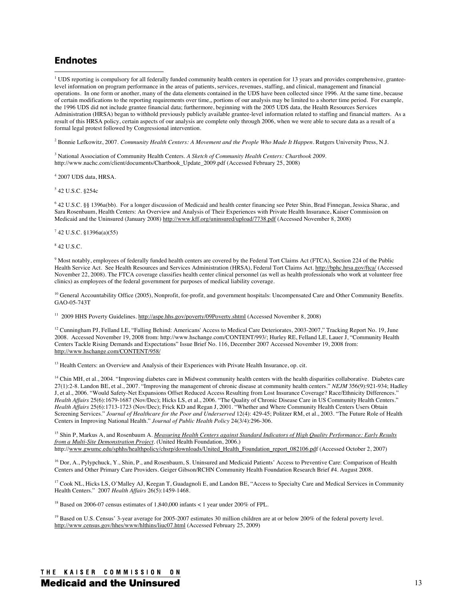### **Endnotes**

<sup>1</sup> UDS reporting is compulsory for all federally funded community health centers in operation for 13 years and provides comprehensive, granteelevel information on program performance in the areas of patients, services, revenues, staffing, and clinical, management and financial operations. In one form or another, many of the data elements contained in the UDS have been collected since 1996. At the same time, because of certain modifications to the reporting requirements over time,, portions of our analysis may be limited to a shorter time period. For example, the 1996 UDS did not include grantee financial data; furthermore, beginning with the 2005 UDS data, the Health Resources Services Administration (HRSA) began to withhold previously publicly available grantee-level information related to staffing and financial matters. As a result of this HRSA policy, certain aspects of our analysis are complete only through 2006, when we were able to secure data as a result of a formal legal protest followed by Congressional intervention.

<sup>2</sup> Bonnie Lefkowitz, 2007. *Community Health Centers: A Movement and the People Who Made It Happen.* Rutgers University Press, N.J.

3 National Association of Community Health Centers. *A Sketch of Community Health Centers: Chartbook 2009.* http://www.nachc.com/client/documents/Chartbook\_Update\_2009.pdf (Accessed February 25, 2008)

4 2007 UDS data, HRSA.

5 42 U.S.C. §254c

6 42 U.S.C. §§ 1396a(bb). For a longer discussion of Medicaid and health center financing see Peter Shin, Brad Finnegan, Jessica Sharac, and Sara Rosenbaum, Health Centers: An Overview and Analysis of Their Experiences with Private Health Insurance, Kaiser Commission on Medicaid and the Uninsured (January 2008) http://www.kff.org/uninsured/upload/7738.pdf (Accessed November 8, 2008)

7 42 U.S.C. §1396a(a)(55)

8 42 U.S.C.

 $9$  Most notably, employees of federally funded health centers are covered by the Federal Tort Claims Act (FTCA), Section 224 of the Public Health Service Act. See Health Resources and Services Administration (HRSA), Federal Tort Claims Act. http://bphc.hrsa.gov/ftca/ (Accessed November 22, 2008). The FTCA coverage classifies health center clinical personnel (as well as health professionals who work at volunteer free clinics) as employees of the federal government for purposes of medical liability coverage.

<sup>10</sup> General Accountability Office (2005), Nonprofit, for-profit, and government hospitals: Uncompensated Care and Other Community Benefits. GAO-05-743T

11 2009 HHS Poverty Guidelines. http://aspe.hhs.gov/poverty/09Poverty.shtml (Accessed November 8, 2008)

<sup>12</sup> Cunningham PJ, Felland LE, "Falling Behind: Americans' Access to Medical Care Deteriorates, 2003-2007," Tracking Report No. 19, June 2008. Accessed November 19, 2008 from: http://www.hschange.com/CONTENT/993/; Hurley RE, Felland LE, Lauer J, "Community Health Centers Tackle Rising Demands and Expectations" Issue Brief No. 116, December 2007 Accessed November 19, 2008 from: http://www.hschange.com/CONTENT/958/

<sup>13</sup> Health Centers: an Overview and Analysis of their Experiences with Private Health Insurance, op. cit.

<sup>14</sup> Chin MH, et al., 2004. "Improving diabetes care in Midwest community health centers with the health disparities collaborative. Diabetes care 27(1):2-8. Landon BE, et al., 2007. "Improving the management of chronic disease at community health centers." *NEJM* 356(9):921-934; Hadley J, et al., 2006. "Would Safety-Net Expansions Offset Reduced Access Resulting from Lost Insurance Coverage? Race/Ethnicity Differences." *Health Affairs* 25(6):1679-1687 (Nov/Dec); Hicks LS, et al., 2006. "The Quality of Chronic Disease Care in US Community Health Centers." *Health Affairs* 25(6):1713-1723 (Nov/Dec); Frick KD and Regan J, 2001. "Whether and Where Community Health Centers Users Obtain Screening Services." *Journal of Healthcare for the Poor and Underserved* 12(4): 429-45; Politzer RM, et al., 2003. "The Future Role of Health Centers in Improving National Health." *Journal of Public Health Policy* 24(3/4):296-306.

<sup>15</sup> Shin P, Markus A, and Rosenbaum A. *Measuring Health Centers against Standard Indicators of High Quality Performance: Early Results from a Multi-Site Demonstration Project*. (United Health Foundation, 2006.) http://www.gwumc.edu/sphhs/healthpolicy/chsrp/downloads/United\_Health\_Foundation\_report\_082106.pdf (Accessed October 2, 2007)

<sup>16</sup> Dor, A., Pylypchuck, Y., Shin, P., and Rosenbaum, S. Uninsured and Medicaid Patients' Access to Preventive Care: Comparison of Health Centers and Other Primary Care Providers. Geiger Gibson/RCHN Community Health Foundation Research Brief #4. August 2008.

<sup>17</sup> Cook NL, Hicks LS, O'Malley AJ, Keegan T, Guadagnoli E, and Landon BE, "Access to Specialty Care and Medical Services in Community Health Centers." 2007 *Health Affairs* 26(5):1459-1468.

<sup>18</sup> Based on 2006-07 census estimates of 1,840,000 infants < 1 year under 200% of FPL.

<sup>19</sup> Based on U.S. Census' 3-year average for 2005-2007 estimates 30 million children are at or below 200% of the federal poverty level. http://www.census.gov/hhes/www/hlthins/liuc07.html (Accessed February 25, 2009)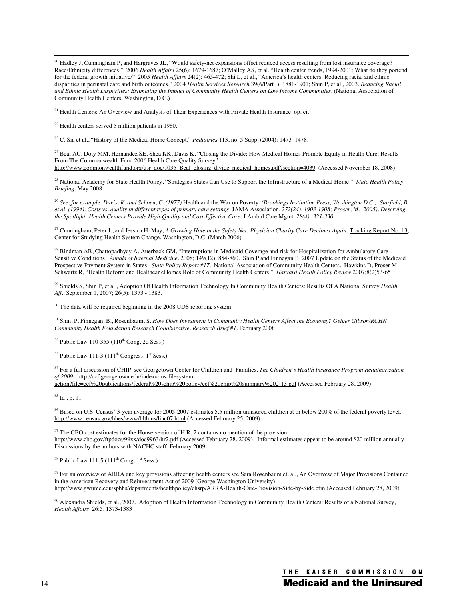<sup>20</sup> Hadley J, Cunningham P, and Hargraves JL, "Would safety-net expansions offset reduced access resulting from lost insurance coverage? Race/Ethnicity differences." 2006 *Health Affairs* 25(6): 1679-1687; O'Malley AS, et al. "Health center trends, 1994-2001: What do they portend for the federal growth initiative/" 2005 *Health Affairs* 24(2): 465-472; Shi L, et al., "America's health centers: Reducing racial and ethnic disparities in perinatal care and birth outcomes." 2004 *Health Services Research* 39(6/Part I): 1881-1901; Shin P, et al., 2003. *Reducing Racial and Ethnic Health Disparities: Estimating the Impact of Community Health Centers on Low Income Communities.* (National Association of Community Health Centers, Washington, D.C.)

<sup>21</sup> Health Centers: An Overview and Analysis of Their Experiences with Private Health Insurance, op. cit.

22 Health centers served 5 million patients in 1980.

23 C. Sia et al., "History of the Medical Home Concept," *Pediatrics* 113, no. 5 Supp. (2004): 1473–1478.

<sup>24</sup> Beal AC, Doty MM, Hernandez SE, Shea KK, Davis K, "Closing the Divide: How Medical Homes Promote Equity in Health Care: Results From The Commonwealth Fund 2006 Health Care Quality Survey" http://www.commonwealthfund.org/usr\_doc/1035\_Beal\_closing\_divide\_medical\_homes.pdf?section=4039 (Accessed November 18, 2008)

25 National Academy for State Health Policy, "Strategies States Can Use to Support the Infrastructure of a Medical Home." *State Health Policy Briefing*, May 2008

<sup>26</sup> See, for example, Davis, K. and Schoen, C. (1977) Health and the War on Poverty *(Brookings Institution Press, Washington D.C.; Starfield, B, et al. (1994). Costs vs. quality in different types of primary care settings.* JAMA Association, *272(24), 1903-1908; Proser, M. (2005). Deserving the Spotlight: Health Centers Provide High-Quality and Cost-Effective Care.* J Ambul Care Mgmt*. 28(4): 321-330.* 

<sup>27</sup> Cunningham, Peter J., and Jessica H. May, *A Growing Hole in the Safety Net: Physician Charity Care Declines Again*, Tracking Report No. 13, Center for Studying Health System Change, Washington, D.C. (March 2006)

<sup>28</sup> Bindman AB, Chattopadhyay A, Auerback GM, "Interruptions in Medicaid Coverage and risk for Hospitalization for Ambulatory Care Sensitive Conditions. *Annals of Internal Medicine.* 2008; 149(12): 854-860. Shin P and Finnegan B, 2007 Update on the Status of the Medicaid Prospective Payment System in States. *State Policy Report #17.* National Association of Community Health Centers. Hawkins D, Proser M, Schwartz R, "Health Reform and Healthcar eHomes:Role of Community Health Centers." *Harvard Health Policy Review* 2007;8(2)53-65

29 Shields S, Shin P, et al., Adoption Of Health Information Technology In Community Health Centers: Results Of A National Survey *Health Aff*., September 1, 2007; 26(5): 1373 - 1383.

 $30$  The data will be required beginning in the 2008 UDS reporting system.

31 Shin, P. Finnegan, B., Rosenbaum, S. *How Does Investment in Community Health Centers Affect the Economy? Geiger Gibson/RCHN Community Health Foundation Research Collaborative. Research Brief #1.* February 2008

 $32$  Public Law 110-355 (110<sup>th</sup> Cong. 2d Sess.)

 $33$  Public Law 111-3 (111<sup>th</sup> Congress, 1<sup>st</sup> Sess.)

34 For a full discussion of CHIP, see Georgetown Center for Children and Families, *The Children's Health Insurance Program Reauthorization of 2009* http://ccf.georgetown.edu/index/cms-filesystem-

action?file=ccf%20publications/federal%20schip%20policy/ccf%20chip%20summary%202-13.pdf (Accessed February 28, 2009).

35 Id., p. 11

<sup>36</sup> Based on U.S. Census' 3-year average for 2005-2007 estimates 5.5 million uninsured children at or below 200% of the federal poverty level. http://www.census.gov/hhes/www/hlthins/liuc07.html (Accessed February 25, 2009)

 $37$  The CBO cost estimates for the House version of H.R. 2 contains no mention of the provision. http://www.cbo.gov/ftpdocs/99xx/doc9963/hr2.pdf (Accessed February 28, 2009). Informal estimates appear to be around \$20 million annually. Discussions by the authors with NACHC staff, February 2009.

 $38$  Public Law 111-5 (111<sup>th</sup> Cong. 1<sup>st</sup> Sess.)

<sup>39</sup> For an overview of ARRA and key provisions affecting health centers see Sara Rosenbaum et. al., An Overivew of Major Provisions Contained in the American Recovery and Reinvestment Act of 2009 (George Washington University) http://www.gwumc.edu/sphhs/departments/healthpolicy/chsrp/ARRA-Health-Care-Provision-Side-by-Side.cfm (Accessed February 28, 2009)

40 Alexandra Shields, et al., 2007. Adoption of Health Information Technology in Community Health Centers: Results of a National Survey, *Health Affairs* 26:5, 1373-1383